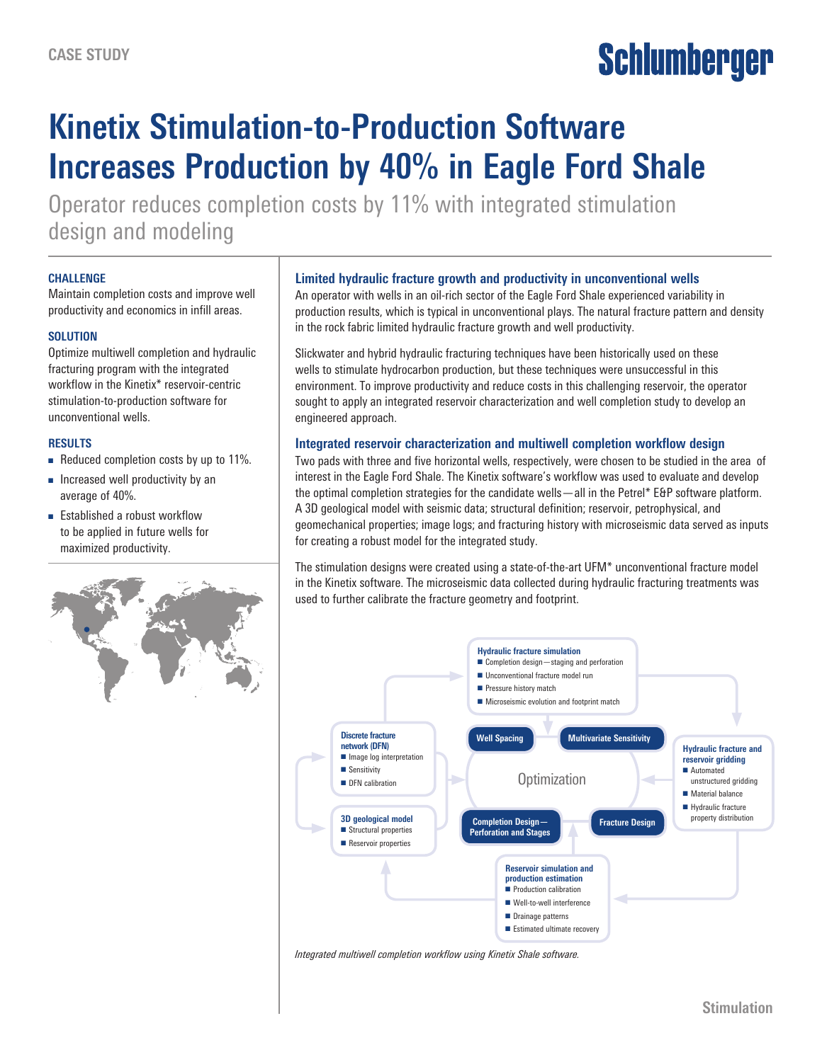# Schlumberger

# **Kinetix Stimulation-to-Production Software Increases Production by 40% in Eagle Ford Shale**

Operator reduces completion costs by 11% with integrated stimulation design and modeling

#### **CHALLENGE**

Maintain completion costs and improve well productivity and economics in infill areas.

## **SOLUTION**

Optimize multiwell completion and hydraulic fracturing program with the integrated workflow in the Kinetix\* reservoir-centric stimulation-to-production software for unconventional wells.

#### **RESULTS**

- Reduced completion costs by up to 11%.
- Increased well productivity by an average of 40%.
- Established a robust workflow to be applied in future wells for maximized productivity.



#### **Limited hydraulic fracture growth and productivity in unconventional wells**

An operator with wells in an oil-rich sector of the Eagle Ford Shale experienced variability in production results, which is typical in unconventional plays. The natural fracture pattern and density in the rock fabric limited hydraulic fracture growth and well productivity.

Slickwater and hybrid hydraulic fracturing techniques have been historically used on these wells to stimulate hydrocarbon production, but these techniques were unsuccessful in this environment. To improve productivity and reduce costs in this challenging reservoir, the operator sought to apply an integrated reservoir characterization and well completion study to develop an engineered approach.

## **Integrated reservoir characterization and multiwell completion workflow design**

Two pads with three and five horizontal wells, respectively, were chosen to be studied in the area of interest in the Eagle Ford Shale. The Kinetix software's workflow was used to evaluate and develop the optimal completion strategies for the candidate wells—all in the Petrel\* E&P software platform. A 3D geological model with seismic data; structural definition; reservoir, petrophysical, and geomechanical properties; image logs; and fracturing history with microseismic data served as inputs for creating a robust model for the integrated study.

The stimulation designs were created using a state-of-the-art UFM\* unconventional fracture model in the Kinetix software. The microseismic data collected during hydraulic fracturing treatments was used to further calibrate the fracture geometry and footprint.



*Integrated multiwell completion workflow using Kinetix Shale software.*